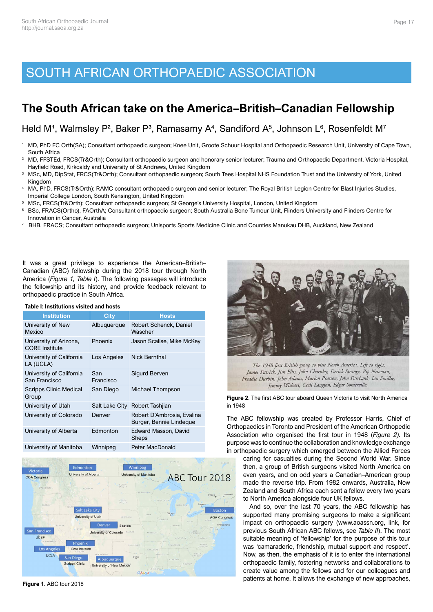## SOUTH AFRICAN ORTHOPAEDIC ASSOCIATION

## **The South African take on the America–British–Canadian Fellowship**

Held M<sup>1</sup>, Walmsley P<sup>2</sup>, Baker P<sup>3</sup>, Ramasamy A<sup>4</sup>, Sandiford A<sup>5</sup>, Johnson L<sup>6</sup>, Rosenfeldt M<sup>7</sup>

- <sup>1</sup> MD, PhD FC Orth(SA); Consultant orthopaedic surgeon; Knee Unit, Groote Schuur Hospital and Orthopaedic Research Unit, University of Cape Town, South Africa
- ² MD, FFSTEd, FRCS(Tr&Orth); Consultant orthopaedic surgeon and honorary senior lecturer; Trauma and Orthopaedic Department, Victoria Hospital, Hayfield Road, Kirkcaldy and University of St Andrews, United Kingdom
- <sup>3</sup> MSc, MD, DipStat, FRCS(Tr&Orth); Consultant orthopaedic surgeon; South Tees Hospital NHS Foundation Trust and the University of York, United Kingdom
- <sup>4</sup> MA, PhD, FRCS(Tr&Orth); RAMC consultant orthopaedic surgeon and senior lecturer; The Royal British Legion Centre for Blast Injuries Studies, Imperial College London, South Kensington, United Kingdom
- 5 MSc, FRCS(Tr&Orth); Consultant orthopaedic surgeon; St George's University Hospital, London, United Kingdom<br>6 BSc, FRACS(Ortho), FAOrthA: Consultant orthopaedic surgeon: South Australia Bone Tumour Unit, Flinders Univ
- <sup>6</sup> BSc, FRACS(Ortho), FAOrthA; Consultant orthopaedic surgeon; South Australia Bone Tumour Unit, Flinders University and Flinders Centre for Innovation in Cancer, Australia
- 7 BHB, FRACS; Consultant orthopaedic surgeon; Unisports Sports Medicine Clinic and Counties Manukau DHB, Auckland, New Zealand

It was a great privilege to experience the American–British– Canadian (ABC) fellowship during the 2018 tour through North America (*Figure 1, Table I*). The following passages will introduce the fellowship and its history, and provide feedback relevant to orthopaedic practice in South Africa.

|--|

| <b>Institution</b>                              | <b>City</b>      | <b>Hosts</b>                                          |
|-------------------------------------------------|------------------|-------------------------------------------------------|
| University of New<br>Mexico                     | Albuquerque      | Robert Schenck, Daniel<br>Wascher                     |
| University of Arizona,<br><b>CORE</b> Institute | Phoenix          | Jason Scalise, Mike McKey                             |
| University of California<br>LA (UCLA)           | Los Angeles      | <b>Nick Bernthal</b>                                  |
| University of California<br>San Francisco       | San<br>Francisco | Sigurd Berven                                         |
| Scripps Clinic Medical<br>Group                 | San Diego        | Michael Thompson                                      |
| University of Utah                              | Salt Lake City   | Robert Tashijan                                       |
| University of Colorado                          | Denver           | Robert D'Ambrosia, Evalina<br>Burger, Bennie Lindeque |
| University of Alberta                           | Edmonton         | Edward Masson, David<br>Sheps                         |
| University of Manitoba                          | Winnipeg         | Peter MacDonald                                       |



**Figure 1**. ABC tour 2018



The 1948 first British group to visit North America. Left to right: James Patrick, Jim Ellis, John Charnley, Derick Strange, Pip Newman, Freddie Durbin, John Adams, Marion Pearson, John Fairbank, Ian Smillie, Jimmy Wishart, Cecil Langton, Edgar Somerville.

**Figure 2**. The first ABC tour aboard Queen Victoria to visit North America in 1948

The ABC fellowship was created by Professor Harris, Chief of Orthopaedics in Toronto and President of the American Orthopedic Association who organised the first tour in 1948 (*Figure 2).* Its purpose was to continue the collaboration and knowledge exchange in orthopaedic surgery which emerged between the Allied Forces

caring for casualties during the Second World War. Since then, a group of British surgeons visited North America on even years, and on odd years a Canadian–American group made the reverse trip. From 1982 onwards, Australia, New Zealand and South Africa each sent a fellow every two years to North America alongside four UK fellows.

And so, over the last 70 years, the ABC fellowship has supported many promising surgeons to make a significant impact on orthopaedic surgery [\(www.aoassn.org,](http://www.aoassn.org) [link](https://www.aoassn.org/aoaimis/AOANEW/Fellowships%20and%20Awards/ABC_Alumni.aspx), for previous South African ABC fellows, see *Table II*). The most suitable meaning of 'fellowship' for the purpose of this tour was 'camaraderie, friendship, mutual support and respect'. Now, as then, the emphasis of it is to enter the international orthopaedic family, fostering networks and collaborations to create value among the fellows and for our colleagues and patients at home. It allows the exchange of new approaches,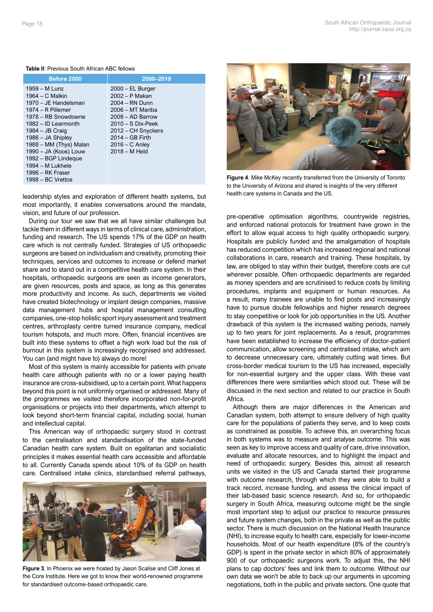## **Table II**: Previous South African ABC fellows

| Before 2000                                                                                                                                                                                                                                                                                                        | 2000-2018                                                                                                                                                                                                 |
|--------------------------------------------------------------------------------------------------------------------------------------------------------------------------------------------------------------------------------------------------------------------------------------------------------------------|-----------------------------------------------------------------------------------------------------------------------------------------------------------------------------------------------------------|
| 1959 - M Lunz<br>$1964 - C$ Malkin<br>1970 – JE Handelsman<br>$1974 - R$ Pillemer<br>1978 – RB Snowdowne<br>1982 - ID Learmonth<br>$1984 - JB$ Craig<br>1986 – JA Shipley<br>1988 - MM (Thys) Malan<br>1990 - JA (Koos) Louw<br>1992 – BGP Lindegue<br>1994 – M Lukhele<br>1996 – RK Fraser<br>$1998 - BC$ Vrettos | $2000 - EL$ Burger<br>2002 - P Makan<br>2004 - RN Dunn<br>2006 - MT Mariba<br>$2008 - AD$ Barrow<br>$2010 - S$ Dix-Peek<br>2012 – CH Snyckers<br>$2014 - GB$ Firth<br>$2016 - C$ Anley<br>$2018 - M$ Held |

leadership styles and exploration of different health systems, but most importantly, it enables conversations around the mandate, vision, and future of our profession.

During our tour we saw that we all have similar challenges but tackle them in different ways in terms of clinical care, administration, funding and research. The US spends 17% of the GDP on health care which is not centrally funded. Strategies of US orthopaedic surgeons are based on individualism and creativity, promoting their techniques, services and outcomes to increase or defend market share and to stand out in a competitive health care system. In their hospitals, orthopaedic surgeons are seen as income generators, are given resources, posts and space, as long as this generates more productivity and income. As such, departments we visited have created biotechnology or implant design companies, massive data management hubs and hospital management consulting companies, one-stop holistic sport injury assessment and treatment centres, arthroplasty centre turned insurance company, medical tourism hotspots, and much more. Often, financial incentives are built into these systems to offset a high work load but the risk of burnout in this system is increasingly recognised and addressed. You can (and might have to) always do more!

Most of this system is mainly accessible for patients with private health care although patients with no or a lower paying health insurance are cross-subsidised, up to a certain point. What happens beyond this point is not uniformly organised or addressed. Many of the programmes we visited therefore incorporated non-for-profit organisations or projects into their departments, which attempt to look beyond short-term financial capital, including social, human and intellectual capital.

This American way of orthopaedic surgery stood in contrast to the centralisation and standardisation of the state-funded Canadian health care system. Built on egalitarian and socialistic principles it makes essential health care accessible and affordable to all. Currently Canada spends about 10% of its GDP on health care. Centralised intake clinics, standardised referral pathways,



**Figure 3**. In Phoenix we were hosted by Jason Scalise and Cliff Jones at the Core Institute. Here we got to know their world-renowned programme for standardised outcome-based orthopaedic care.



**Figure 4**. Mike McKey recently transferred from the University of Toronto to the University of Arizona and shared is insights of the very different health care systems in Canada and the US.

pre-operative optimisation algorithms, countrywide registries, and enforced national protocols for treatment have grown in the effort to allow equal access to high quality orthopaedic surgery. Hospitals are publicly funded and the amalgamation of hospitals has reduced competition which has increased regional and national collaborations in care, research and training. These hospitals, by law, are obliged to stay within their budget, therefore costs are cut wherever possible. Often orthopaedic departments are regarded as money spenders and are scrutinised to reduce costs by limiting procedures, implants and equipment or human resources. As a result, many trainees are unable to find posts and increasingly have to pursue double fellowships and higher research degrees to stay competitive or look for job opportunities in the US. Another drawback of this system is the increased waiting periods, namely up to two years for joint replacements. As a result, programmes have been established to increase the efficiency of doctor–patient communication, allow screening and centralised intake, which aim to decrease unnecessary care, ultimately cutting wait times. But cross-border medical tourism to the US has increased, especially for non-essential surgery and the upper class. With these vast differences there were similarities which stood out. These will be discussed in the next section and related to our practice in South Africa.

Although there are major differences in the American and Canadian system, both attempt to ensure delivery of high quality care for the populations of patients they serve, and to keep costs as constrained as possible. To achieve this, an overarching focus in both systems was to measure and analyse outcome. This was seen as key to improve access and quality of care, drive innovation, evaluate and allocate resources, and to highlight the impact and need of orthopaedic surgery. Besides this, almost all research units we visited in the US and Canada started their programme with outcome research, through which they were able to build a track record, increase funding, and assess the clinical impact of their lab-based basic science research. And so, for orthopaedic surgery in South Africa, measuring outcome might be the single most important step to adjust our practice to resource pressures and future system changes, both in the private as well as the public sector. There is much discussion on the National Health Insurance (NHI), to increase equity to health care, especially for lower-income households. Most of our health expenditure (8% of the country's GDP) is spent in the private sector in which 80% of approximately 900 of our orthopaedic surgeons work. To adjust this, the NHI plans to cap doctors' fees and link them to outcome. Without our own data we won't be able to back up our arguments in upcoming negotiations, both in the public and private sectors. One quote that